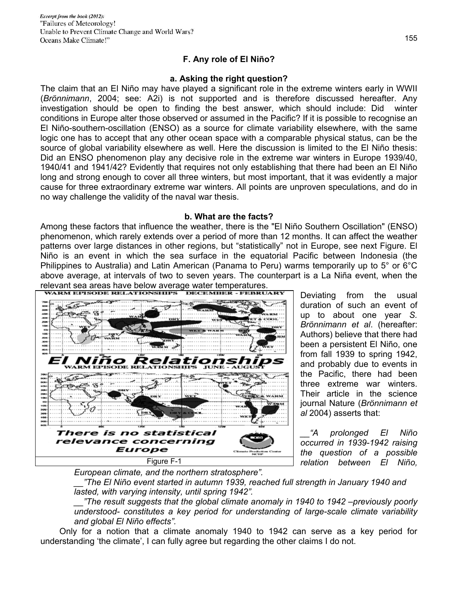# **F. Any role of El Niño?**

#### **a. Asking the right question?**

The claim that an El Niño may have played a significant role in the extreme winters early in WWII (*Brönnimann*, 2004; see: A2i) is not supported and is therefore discussed hereafter. Any investigation should be open to finding the best answer, which should include: Did winter conditions in Europe alter those observed or assumed in the Pacific? If it is possible to recognise an El Niño-southern-oscillation (ENSO) as a source for climate variability elsewhere, with the same logic one has to accept that any other ocean space with a comparable physical status, can be the source of global variability elsewhere as well. Here the discussion is limited to the El Niño thesis: Did an ENSO phenomenon play any decisive role in the extreme war winters in Europe 1939/40, 1940/41 and 1941/42? Evidently that requires not only establishing that there had been an El Niño long and strong enough to cover all three winters, but most important, that it was evidently a major cause for three extraordinary extreme war winters. All points are unproven speculations, and do in no way challenge the validity of the naval war thesis.

#### **b. What are the facts?**

Among these factors that influence the weather, there is the "El Niño Southern Oscillation" (ENSO) phenomenon, which rarely extends over a period of more than 12 months. It can affect the weather patterns over large distances in other regions, but "statistically" not in Europe, see next Figure. El Niño is an event in which the sea surface in the equatorial Pacific between Indonesia (the Philippines to Australia) and Latin American (Panama to Peru) warms temporarily up to 5° or 6°C above average, at intervals of two to seven years. The counterpart is a La Niña event, when the relevant sea areas have below average water temperatures.



Deviating from the usual duration of such an event of up to about one year *S. Brönnimann et al*. (hereafter: Authors) believe that there had been a persistent El Niño, one from fall 1939 to spring 1942, and probably due to events in the Pacific, there had been three extreme war winters. Their article in the science journal Nature (*Brönnimann et al* 2004) asserts that:

*\_\_"A prolonged El Niño occurred in 1939-1942 raising the question of a possible relation between El Niño,* 

*European climate, and the northern stratosphere".* 

*\_\_"The El Niño event started in autumn 1939, reached full strength in January 1940 and lasted, with varying intensity, until spring 1942".* 

*\_\_"The result suggests that the global climate anomaly in 1940 to 1942 –previously poorly understood- constitutes a key period for understanding of large-scale climate variability and global El Niño effects".* 

 Only for a notion that a climate anomaly 1940 to 1942 can serve as a key period for understanding 'the climate', I can fully agree but regarding the other claims I do not.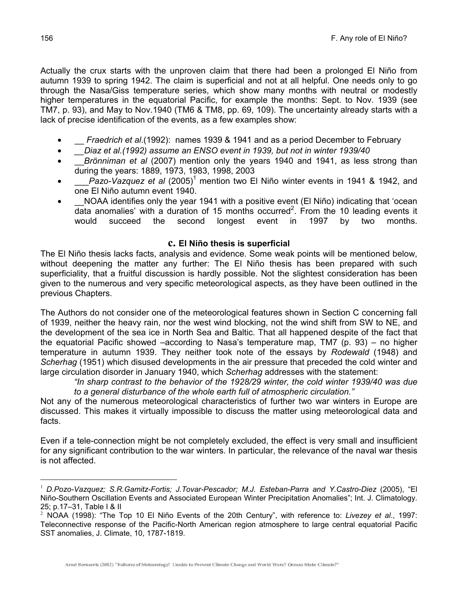Actually the crux starts with the unproven claim that there had been a prolonged El Niño from autumn 1939 to spring 1942. The claim is superficial and not at all helpful. One needs only to go through the Nasa/Giss temperature series, which show many months with neutral or modestly higher temperatures in the equatorial Pacific, for example the months: Sept. to Nov. 1939 (see TM7, p. 93), and May to Nov.1940 (TM6 & TM8, pp. 69, 109). The uncertainty already starts with a lack of precise identification of the events, as a few examples show:

- *Fraedrich et al.*(1992): names 1939 & 1941 and as a period December to February
- *\_\_Diaz et al.(1992) assume an ENSO event in 1939, but not in winter 1939/40*
- \_\_*Brönniman et al* (2007) mention only the years 1940 and 1941, as less strong than during the years: 1889, 1973, 1983, 1998, 2003
- *\_\_\_Pazo-Vazquez et al* (2005)<sup>1</sup> mention two El Niño winter events in 1941 & 1942, and one El Niño autumn event 1940.
- NOAA identifies only the year 1941 with a positive event (El Niño) indicating that 'ocean data anomalies' with a duration of 15 months occurred<sup>2</sup>. From the 10 leading events it would succeed the second longest event in 1997 by two months.

## **c. El Niño thesis is superficial**

The El Niño thesis lacks facts, analysis and evidence. Some weak points will be mentioned below, without deepening the matter any further: The El Niño thesis has been prepared with such superficiality, that a fruitful discussion is hardly possible. Not the slightest consideration has been given to the numerous and very specific meteorological aspects, as they have been outlined in the previous Chapters.

The Authors do not consider one of the meteorological features shown in Section C concerning fall of 1939, neither the heavy rain, nor the west wind blocking, not the wind shift from SW to NE, and the development of the sea ice in North Sea and Baltic. That all happened despite of the fact that the equatorial Pacific showed –according to Nasa's temperature map, TM7 (p. 93) – no higher temperature in autumn 1939. They neither took note of the essays by *Rodewald* (1948) and *Scherhag* (1951) which disused developments in the air pressure that preceded the cold winter and large circulation disorder in January 1940, which *Scherhag* addresses with the statement:

*"In sharp contrast to the behavior of the 1928/29 winter, the cold winter 1939/40 was due to a general disturbance of the whole earth full of atmospheric circulation."* 

Not any of the numerous meteorological characteristics of further two war winters in Europe are discussed. This makes it virtually impossible to discuss the matter using meteorological data and facts.

Even if a tele-connection might be not completely excluded, the effect is very small and insufficient for any significant contribution to the war winters. In particular, the relevance of the naval war thesis is not affected.

 $\overline{a}$ 

<sup>1</sup> *D.Pozo-Vazquez; S.R.Gamitz-Fortis; J.Tovar-Pescador; M.J. Esteban-Parra and Y.Castro-Diez* (2005), "El Niño-Southern Oscillation Events and Associated European Winter Precipitation Anomalies"; Int. J. Climatology. 25; p.17–31, Table I & II

<sup>2</sup> NOAA (1998): "The Top 10 El Niño Events of the 20th Century", with reference to: *Livezey et al*., 1997: Teleconnective response of the Pacific-North American region atmosphere to large central equatorial Pacific SST anomalies, J. Climate, 10, 1787-1819.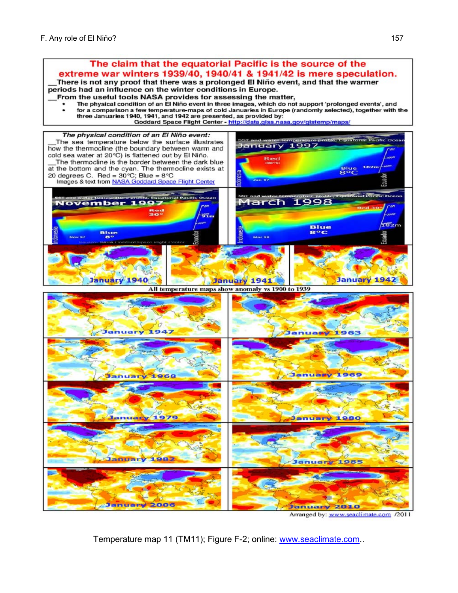

Arranged by: www.seaclimate.com /2011

Temperature map 11 (TM11); Figure F-2; online: www.seaclimate.com..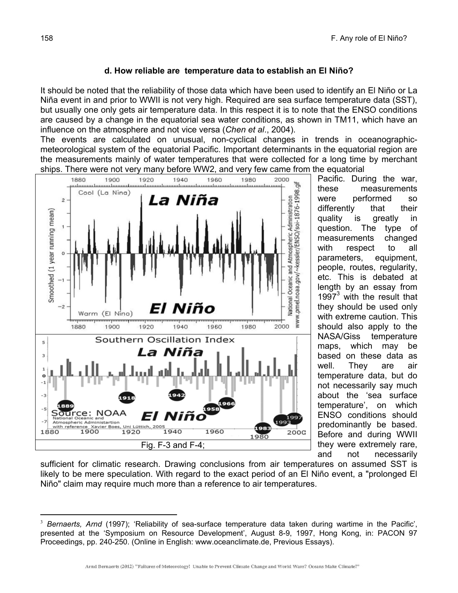# **d. How reliable are temperature data to establish an El Niño?**

It should be noted that the reliability of those data which have been used to identify an El Niño or La Niña event in and prior to WWII is not very high. Required are sea surface temperature data (SST), but usually one only gets air temperature data. In this respect it is to note that the ENSO conditions are caused by a change in the equatorial sea water conditions, as shown in TM11, which have an influence on the atmosphere and not vice versa (*Chen et al*., 2004).

The events are calculated on unusual, non-cyclical changes in trends in oceanographicmeteorological system of the equatorial Pacific. Important determinants in the equatorial region are the measurements mainly of water temperatures that were collected for a long time by merchant ships. There were not very many before WW2, and very few came from the equatorial



Pacific. During the war, these measurements were performed so differently that their quality is greatly in question. The type of measurements changed with respect to all parameters, equipment, people, routes, regularity, etc. This is debated at length by an essay from  $1997<sup>3</sup>$  with the result that they should be used only with extreme caution. This should also apply to the NASA/Giss temperature maps, which may be based on these data as well. They are air temperature data, but do not necessarily say much about the 'sea surface temperature', on which ENSO conditions should predominantly be based. Before and during WWII they were extremely rare, and not necessarily

sufficient for climatic research. Drawing conclusions from air temperatures on assumed SST is likely to be mere speculation. With regard to the exact period of an El Niño event, a "prolonged El Niño" claim may require much more than a reference to air temperatures.

 $\overline{a}$ <sup>3</sup> Bernaerts, Arnd (1997); 'Reliability of sea-surface temperature data taken during wartime in the Pacific', presented at the 'Symposium on Resource Development', August 8-9, 1997, Hong Kong, in: PACON 97 Proceedings, pp. 240-250. (Online in English: www.oceanclimate.de, Previous Essays).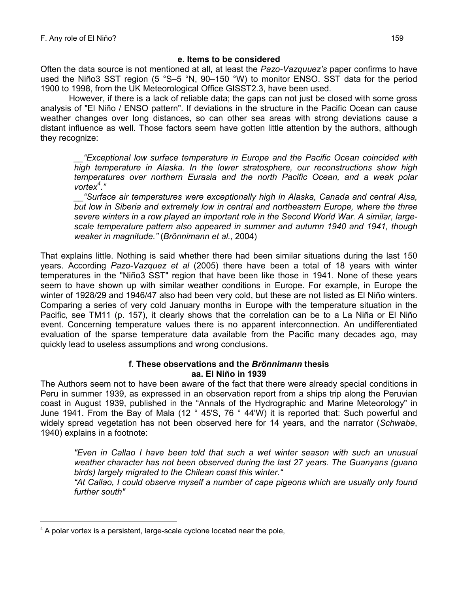## **e. Items to be considered**

Often the data source is not mentioned at all, at least the *Pazo-Vazquuez's* paper confirms to have used the Niño3 SST region (5 °S–5 °N, 90–150 °W) to monitor ENSO. SST data for the period 1900 to 1998, from the UK Meteorological Office GISST2.3, have been used.

 However, if there is a lack of reliable data; the gaps can not just be closed with some gross analysis of "El Niño / ENSO pattern". If deviations in the structure in the Pacific Ocean can cause weather changes over long distances, so can other sea areas with strong deviations cause a distant influence as well. Those factors seem have gotten little attention by the authors, although they recognize:

*\_\_"Exceptional low surface temperature in Europe and the Pacific Ocean coincided with high temperature in Alaska. In the lower stratosphere, our reconstructions show high temperatures over northern Eurasia and the north Pacific Ocean, and a weak polar vortex<sup>4</sup> ."* 

*\_\_"Surface air temperatures were exceptionally high in Alaska, Canada and central Aisa, but low in Siberia and extremely low in central and northeastern Europe, where the three severe winters in a row played an important role in the Second World War. A similar, largescale temperature pattern also appeared in summer and autumn 1940 and 1941, though weaker in magnitude."* (*Brönnimann et al.*, 2004)

That explains little. Nothing is said whether there had been similar situations during the last 150 years. According *Pazo-Vazquez et al* (2005) there have been a total of 18 years with winter temperatures in the "Niño3 SST" region that have been like those in 1941. None of these years seem to have shown up with similar weather conditions in Europe. For example, in Europe the winter of 1928/29 and 1946/47 also had been very cold, but these are not listed as El Niño winters. Comparing a series of very cold January months in Europe with the temperature situation in the Pacific, see TM11 (p. 157), it clearly shows that the correlation can be to a La Niña or El Niño event. Concerning temperature values there is no apparent interconnection. An undifferentiated evaluation of the sparse temperature data available from the Pacific many decades ago, may quickly lead to useless assumptions and wrong conclusions.

### **f. These observations and the** *Brönnimann* **thesis aa. El Niño in 1939**

The Authors seem not to have been aware of the fact that there were already special conditions in Peru in summer 1939, as expressed in an observation report from a ships trip along the Peruvian coast in August 1939, published in the "Annals of the Hydrographic and Marine Meteorology" in June 1941. From the Bay of Mala (12  $\degree$  45'S, 76  $\degree$  44'W) it is reported that: Such powerful and widely spread vegetation has not been observed here for 14 years, and the narrator (*Schwabe*, 1940) explains in a footnote:

*"Even in Callao I have been told that such a wet winter season with such an unusual weather character has not been observed during the last 27 years. The Guanyans (guano birds) largely migrated to the Chilean coast this winter."* 

*"At Callao, I could observe myself a number of cape pigeons which are usually only found further south"* 

 $\overline{a}$ 

 $4$  A polar vortex is a persistent, large-scale cyclone located near the pole,